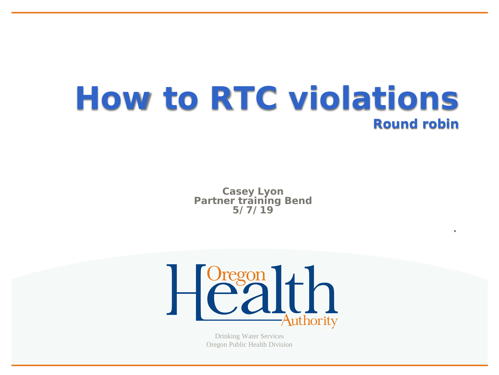### **How to RTC violations Round robin**

**Casey Lyon Partner training Bend 5/7/19**

**.**



Oregon Public Health Division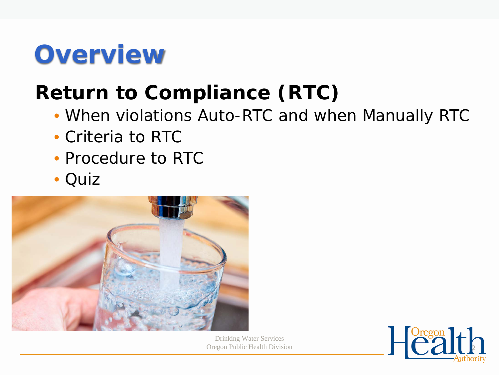## **Overview**

#### **Return to Compliance (RTC)**

- When violations Auto-RTC and when Manually RTC
- Criteria to RTC
- Procedure to RTC
- Quiz



Drinking Water Services

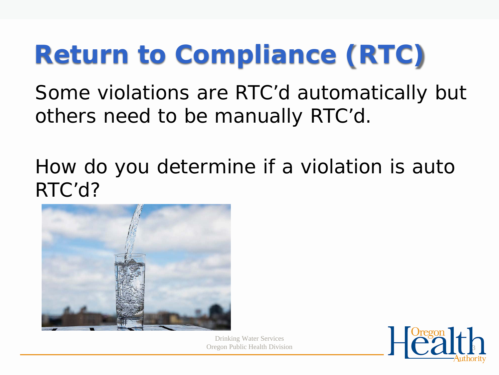## **Return to Compliance (RTC)**

Some violations are RTC'd automatically but others need to be manually RTC'd.

How do you determine if a violation is auto RTC'd?



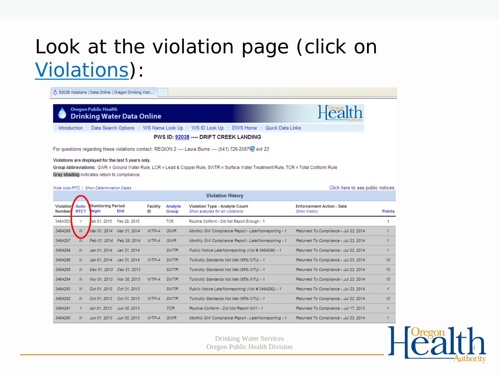#### Look at the violation page (click on Violations):

△ 92038 Violations | Data Online | Oregon Drinking Wat...

**Oregon Public Health Drinking Water Data Online** 



Click here to see public notices.

Introduction :: Data Search Options :: WS Name Look Up :: WS ID Look Up :: DWS Home :: Quick Data Links

PWS ID: 92038 ---- DRIFT CREEK LANDING

For questions regarding these violations contact: REGION 2 ---- Laura Burns ---- (541) 726-2587 (ext 23

Violations are displayed for the last 5 years only.

Group Abbreviations: GWR = Ground Water Rule, LCR = Lead & Copper Rule, SWTR = Surface Water Treatment Rule, TCR = Total Coliform Rule Gray shading indicates return to compliance.

|                            |               |                                   |                           |                       |                  | <b>Violation History</b>                                                  |                                                  |               |
|----------------------------|---------------|-----------------------------------|---------------------------|-----------------------|------------------|---------------------------------------------------------------------------|--------------------------------------------------|---------------|
| <b>Violation</b><br>Number | Auto-<br>RTC? | <b>Monitoring Period</b><br>∦egin | End                       | <b>Facility</b><br>ID | Analyte<br>Group | <b>Violation Type - Analyte Count</b><br>Show analytes for all violations | <b>Enforcement Action - Date</b><br>Show history | <b>Points</b> |
| 3464303                    | Y             | eb 01, 2015                       | Feb 28, 2015              |                       | TCR              | Routine Coliform - Did Not Report Enough - 1                              |                                                  |               |
| 3464298                    | N             | Mar 01, 2014                      | Mar 31, 2014              | WTP-A                 | GWR              | Monthly GW Compliance Report - Late/Nonreporting - 1                      | Returned To Compliance - Jul 23, 2014            |               |
| 3464297                    |               |                                   | Feb 01, 2014 Feb 28, 2014 | $WTP-A$               | <b>GWR</b>       | Monthly GW Compliance Report - Late/Nonreporting - 1                      | Returned To Compliance - Jul 23, 2014            |               |
| 3464299                    | Ν             | Jan 01, 2014                      | Jan 31, 2014              |                       | <b>SWTR</b>      | Public Notice Late/Nonreporting (Viol # 3464296) - 1                      | Returned To Compliance - Jul 23, 2014            |               |
| 3464296                    | Ν             | Jan 01, 2014                      | Jan 31, 2014              | $WTP-A$               | <b>SWTR</b>      | Turbidity Standards Not Met (95% NTU) - 1                                 | Returned To Compliance - Jul 23, 2014            | 10            |
| 3464295                    | Ν             |                                   | Dec 01, 2013 Dec 31, 2013 |                       | <b>SWTR</b>      | Turbidity Standards Not Met (95% NTU) - 1                                 | Returned To Compliance - Jul 23, 2014            | 10            |
| 3464294                    | Ν             | Nov 01, 2013                      | Nov 30, 2013              | WTP-A                 | <b>SWTR</b>      | Turbidity Standards Not Met (95% NTU) - 1                                 | Returned To Compliance - Jul 23, 2014            | 10            |
| 3464293                    | Ν             | Oct 01, 2013                      | Oct 31, 2013              |                       | <b>SWTR</b>      | Public Notice Late/Nonreporting (Viol # 3464292) - 1                      | Returned To Compliance - Jul 23, 2014            |               |
| 3464292                    | Ν             | Oct 01, 2013                      | Oct 31, 2013              | WTP-A                 | <b>SWTR</b>      | Turbidity Standards Not Met (95% NTU) - 1                                 | Returned To Compliance - Jul 23, 2014            | 10            |
| 3464291                    | Y.            | Apr 01, 2013                      | Jun 30, 2013              |                       | <b>TCR</b>       | Routine Coliform - Did Not Report ANY - 1                                 | Returned To Compliance - Jul 17, 2013            |               |
| 3464290                    | Ν             | Jun 01, 2013                      | Jun 30, 2013              | WTP-A                 | GWR              | Monthly GW Compliance Report - Late/Nonreporting - 1                      | Returned To Compliance - Jul 23, 2014            |               |

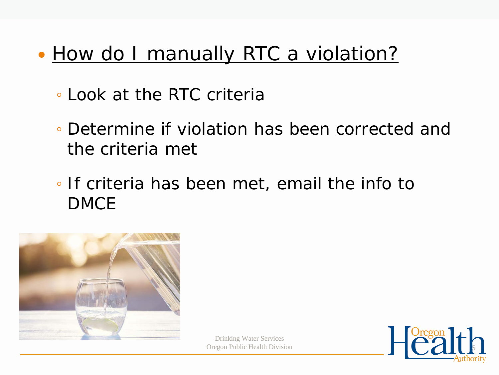#### • How do I manually RTC a violation?

- Look at the RTC criteria
- Determine if violation has been corrected and the criteria met
- If criteria has been met, email the info to DMCE



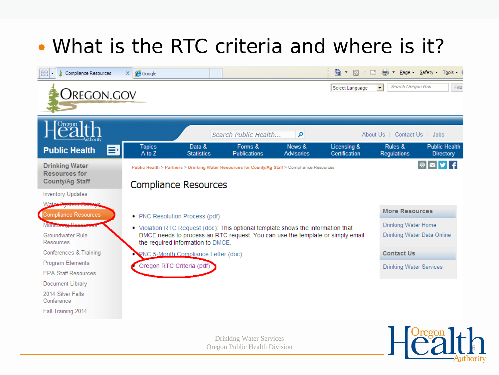#### What is the RTC criteria and where is it?



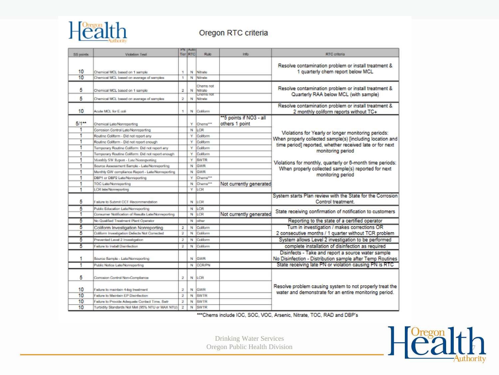

#### Oregon RTC criteria

| <b>SS points</b> | <b>Violation Text</b>                                                                                                                     |                         | <b>PN Auto</b><br>Tier RTC | Rule                          | Info                    | <b>RTC</b> criteria                                                                                                                                                          |  |
|------------------|-------------------------------------------------------------------------------------------------------------------------------------------|-------------------------|----------------------------|-------------------------------|-------------------------|------------------------------------------------------------------------------------------------------------------------------------------------------------------------------|--|
|                  |                                                                                                                                           |                         |                            |                               |                         |                                                                                                                                                                              |  |
|                  |                                                                                                                                           |                         |                            |                               |                         | Resolve contamination problem or install treatment &                                                                                                                         |  |
| 10               | Chemical MCL based on 1 sample                                                                                                            |                         |                            | N Nitrate                     |                         | 1 quarterly chem report below MCL                                                                                                                                            |  |
| 10               | Chemical MCL based on average of samples                                                                                                  | ٠                       |                            | N Nitrate                     |                         |                                                                                                                                                                              |  |
|                  | Chemical MCL based on 1 sample<br>Chemical MCL based on average of samples                                                                |                         |                            | Chems not                     |                         | Resolve contamination problem or install treatment &                                                                                                                         |  |
| 5                |                                                                                                                                           |                         |                            | N Nitrate<br><b>Acins not</b> |                         | Quarterly RAA below MCL (with sample)                                                                                                                                        |  |
| 5                |                                                                                                                                           |                         | N                          | Nitrate                       |                         |                                                                                                                                                                              |  |
|                  |                                                                                                                                           |                         |                            |                               |                         | Resolve contamination problem or install treatment &                                                                                                                         |  |
| 10               | Acute MCL for E.coli                                                                                                                      | ٠                       |                            | N Coliform                    |                         | 2 monthly coliform reports without TC+                                                                                                                                       |  |
|                  |                                                                                                                                           |                         |                            |                               | **5 points if NO3 - all |                                                                                                                                                                              |  |
| $5/1**$          | <b>Chemical Late/Nonreporting</b>                                                                                                         |                         |                            | Y Chems***                    | others 1 point          |                                                                                                                                                                              |  |
| 1                | Corrosion Control Late/Nonreporting                                                                                                       |                         |                            | N LCR                         |                         | Violations for Yearly or longer monitoring periods:<br>When properly collected sample(s) [including location and<br>time period] reported, whether received late or for next |  |
| 1                | Routine Coliform - Did not report any                                                                                                     |                         | ٧                          | Coliform                      |                         |                                                                                                                                                                              |  |
| 1                | Routine Coliform - Did not report enough                                                                                                  |                         | ٧                          | Coliform                      |                         |                                                                                                                                                                              |  |
|                  | Temporary Routine Coliform: Did not report any                                                                                            |                         | ٧                          | Coliform                      |                         | monitoring period                                                                                                                                                            |  |
| 1                | Temporary Routine Coliform: Did not report enough                                                                                         |                         | ٧                          | Coliform                      |                         |                                                                                                                                                                              |  |
| 1                | Monthly SW Report - Late/Nonreporting<br>Source Assessment Sample - Late/Nonreporting<br>Monthly GW compliance Report - Late/Nonreporting |                         | ٧                          | <b>SWTR</b>                   |                         | Violations for monthly, quarterly or 6-month time periods:<br>When properly collected sample(s) reported for next                                                            |  |
| 1.               |                                                                                                                                           |                         |                            | N GWR                         |                         |                                                                                                                                                                              |  |
| 1                |                                                                                                                                           |                         |                            | N GWR                         |                         | monitoring period                                                                                                                                                            |  |
| 1                | DBP1 or DBP2 Late/Nonreporting                                                                                                            |                         | ٧                          | Choms <sup>***</sup>          |                         |                                                                                                                                                                              |  |
| 1                | <b>TOC Late/Nonreporting</b>                                                                                                              |                         |                            | N Chems***                    | Not currently generated |                                                                                                                                                                              |  |
| 1                | <b>LCR Iste/Nonreporting</b>                                                                                                              |                         | ٧                          | LCR                           |                         |                                                                                                                                                                              |  |
| 5                | Failure to Submit CCT Recommendation                                                                                                      |                         |                            | N ILCR                        |                         | System starts Plan review with the State for the Corrosion<br>Control treatment.                                                                                             |  |
| 5                | Public Education Late/Nonreporting                                                                                                        |                         |                            | N LCR                         |                         | State receiving confirmation of notification to customers                                                                                                                    |  |
| 1                | Consumer Notification of Results Late/Nonreporting                                                                                        |                         |                            | N LCR                         | Not currently generated |                                                                                                                                                                              |  |
| 5                | No Qualified Treatment Plant Operator                                                                                                     |                         |                            | N cither                      |                         | Reporting to the state of a certified operator                                                                                                                               |  |
| 5                | Coliform Investigation Nonreporting                                                                                                       | 2                       |                            | N Coliform                    |                         | Turn in investigation / makes corrections OR                                                                                                                                 |  |
| 5                | Coliform Investigation Defects Not Corrected                                                                                              | $\overline{\mathbf{2}}$ |                            | N Coliform                    |                         | 2 consecutive months / 1 quarter without TCR problem                                                                                                                         |  |
| 5                | Prevented Level 2 Investigation                                                                                                           | 2                       |                            | N Coliform                    |                         | System allows Level 2 investigation to be performed                                                                                                                          |  |
| 5                | <b>Failure to Install Disinfection</b>                                                                                                    | $2-1$                   |                            | N Coliform                    |                         | complete installation of disinfection as required                                                                                                                            |  |
|                  |                                                                                                                                           |                         |                            |                               |                         | Disinfects - Take and report a source water sample                                                                                                                           |  |
| 1                | Source Sample - Late/Nonreporting                                                                                                         |                         |                            | N GWR                         |                         | No Disinfection - Distribution sample after Temp Routines                                                                                                                    |  |
| 1                | Public Notice Late/Nonreporting                                                                                                           |                         |                            | N CCR/PN                      |                         | State receiving late PN or violation causing PN is RTC                                                                                                                       |  |
| 5                | Corrosion Control Non-Compliance                                                                                                          | 2                       |                            | N LCR                         |                         |                                                                                                                                                                              |  |
| 10               | Failure to maintain 4-log treatment                                                                                                       | 2                       |                            | N GWR                         |                         | Resolve problem causing system to not properly treat the<br>water and demonstrate for an entire monitoring period.                                                           |  |
| 10               | <b>Failure to Maintain EP Disinfection</b>                                                                                                | 2                       |                            | N SWTR                        |                         |                                                                                                                                                                              |  |
| 10               | Failure to Provide Adequate Contact Time, Swtr                                                                                            | 2                       |                            | N SWTR                        |                         |                                                                                                                                                                              |  |
| 10               | Turbidity Standards Not Met (95% NTU or MAX NTU)                                                                                          | 2                       |                            | N SWTR                        |                         |                                                                                                                                                                              |  |

\*\*\* Chems include IOC, SOC, VOC, Arsenic, Nitrate, TOC, RAD and DBP's

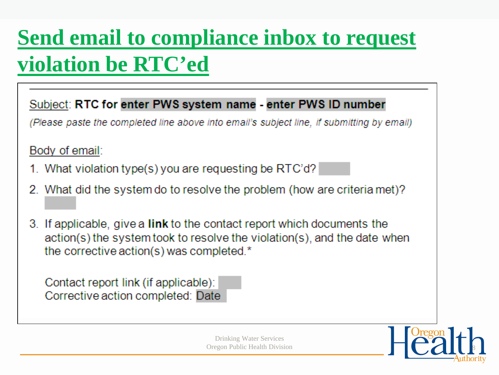## Send email to compliance inbox to request **violation be RTC'ed**

Subject: RTC for enter PWS system name - enter PWS ID number

(Please paste the completed line above into email's subject line, if submitting by email)

Body of email:

- 1. What violation type(s) you are requesting be RTC'd?
- 2. What did the system do to resolve the problem (how are criteria met)?
- 3. If applicable, give a link to the contact report which documents the action(s) the system took to resolve the violation(s), and the date when the corrective action(s) was completed.\*

Contact report link (if applicable): Corrective action completed: Date

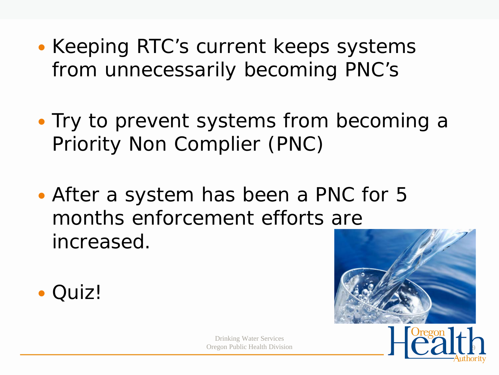- Keeping RTC's current keeps systems from unnecessarily becoming PNC's
- Try to prevent systems from becoming a Priority Non Complier (PNC)
- After a system has been a PNC for 5 months enforcement efforts are increased.







9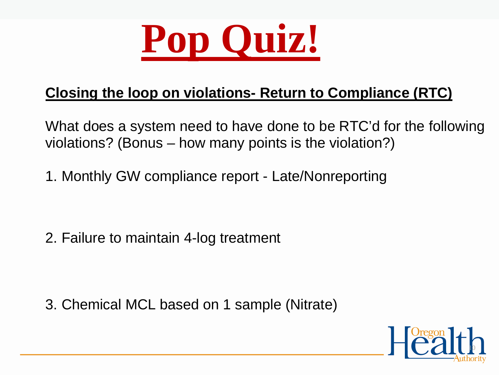

#### **Closing the loop on violations- Return to Compliance (RTC)**

What does a system need to have done to be RTC'd for the following violations? (Bonus – how many points is the violation?)

1. Monthly GW compliance report - Late/Nonreporting

2. Failure to maintain 4-log treatment

3. Chemical MCL based on 1 sample (Nitrate)